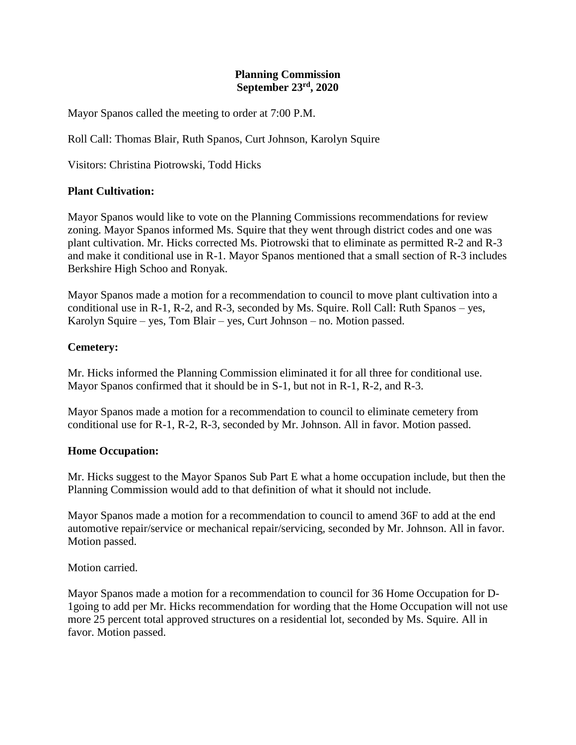## **Planning Commission September 23rd, 2020**

Mayor Spanos called the meeting to order at 7:00 P.M.

Roll Call: Thomas Blair, Ruth Spanos, Curt Johnson, Karolyn Squire

Visitors: Christina Piotrowski, Todd Hicks

## **Plant Cultivation:**

Mayor Spanos would like to vote on the Planning Commissions recommendations for review zoning. Mayor Spanos informed Ms. Squire that they went through district codes and one was plant cultivation. Mr. Hicks corrected Ms. Piotrowski that to eliminate as permitted R-2 and R-3 and make it conditional use in R-1. Mayor Spanos mentioned that a small section of R-3 includes Berkshire High Schoo and Ronyak.

Mayor Spanos made a motion for a recommendation to council to move plant cultivation into a conditional use in R-1, R-2, and R-3, seconded by Ms. Squire. Roll Call: Ruth Spanos – yes, Karolyn Squire – yes, Tom Blair – yes, Curt Johnson – no. Motion passed.

## **Cemetery:**

Mr. Hicks informed the Planning Commission eliminated it for all three for conditional use. Mayor Spanos confirmed that it should be in S-1, but not in R-1, R-2, and R-3.

Mayor Spanos made a motion for a recommendation to council to eliminate cemetery from conditional use for R-1, R-2, R-3, seconded by Mr. Johnson. All in favor. Motion passed.

#### **Home Occupation:**

Mr. Hicks suggest to the Mayor Spanos Sub Part E what a home occupation include, but then the Planning Commission would add to that definition of what it should not include.

Mayor Spanos made a motion for a recommendation to council to amend 36F to add at the end automotive repair/service or mechanical repair/servicing, seconded by Mr. Johnson. All in favor. Motion passed.

Motion carried.

Mayor Spanos made a motion for a recommendation to council for 36 Home Occupation for D-1going to add per Mr. Hicks recommendation for wording that the Home Occupation will not use more 25 percent total approved structures on a residential lot, seconded by Ms. Squire. All in favor. Motion passed.